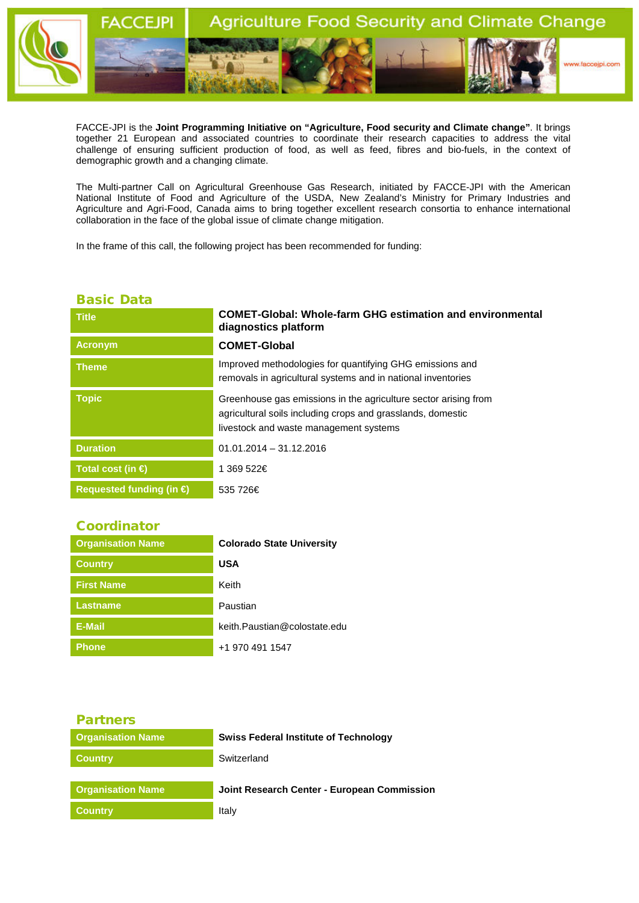

FACCE-JPI is the **Joint Programming Initiative on "Agriculture, Food security and Climate change"**. It brings together 21 European and associated countries to coordinate their research capacities to address the vital challenge of ensuring sufficient production of food, as well as feed, fibres and bio-fuels, in the context of demographic growth and a changing climate.

The Multi-partner Call on Agricultural Greenhouse Gas Research, initiated by FACCE-JPI with the American National Institute of Food and Agriculture of the USDA, New Zealand's Ministry for Primary Industries and Agriculture and Agri-Food, Canada aims to bring together excellent research consortia to enhance international collaboration in the face of the global issue of climate change mitigation.

In the frame of this call, the following project has been recommended for funding:

## Basic Data

| <b>Title</b>                      | <b>COMET-Global: Whole-farm GHG estimation and environmental</b><br>diagnostics platform                                                                                 |
|-----------------------------------|--------------------------------------------------------------------------------------------------------------------------------------------------------------------------|
| <b>Acronym</b>                    | <b>COMET-Global</b>                                                                                                                                                      |
| Theme.                            | Improved methodologies for quantifying GHG emissions and<br>removals in agricultural systems and in national inventories                                                 |
| <b>Topic</b>                      | Greenhouse gas emissions in the agriculture sector arising from<br>agricultural soils including crops and grasslands, domestic<br>livestock and waste management systems |
| <b>Duration</b>                   | $01.01.2014 - 31.12.2016$                                                                                                                                                |
| Total cost (in $\bigoplus$        | 1 369 522€                                                                                                                                                               |
| Requested funding (in $\bigoplus$ | 535 726€                                                                                                                                                                 |
|                                   |                                                                                                                                                                          |

## Coordinator

| <b>Organisation Name</b> | <b>Colorado State University</b> |
|--------------------------|----------------------------------|
| <b>Country</b>           | <b>USA</b>                       |
| <b>First Name</b>        | Keith                            |
| <b>Lastname</b>          | Paustian                         |
| E-Mail                   | keith.Paustian@colostate.edu     |
| <b>Phone</b>             | +1 970 491 1547                  |

| <b>Partners</b>          |                                              |
|--------------------------|----------------------------------------------|
| <b>Organisation Name</b> | <b>Swiss Federal Institute of Technology</b> |
| <b>Country</b>           | Switzerland                                  |
|                          |                                              |
| <b>Organisation Name</b> | Joint Research Center - European Commission  |
| <b>Country</b>           | Italy                                        |
|                          |                                              |